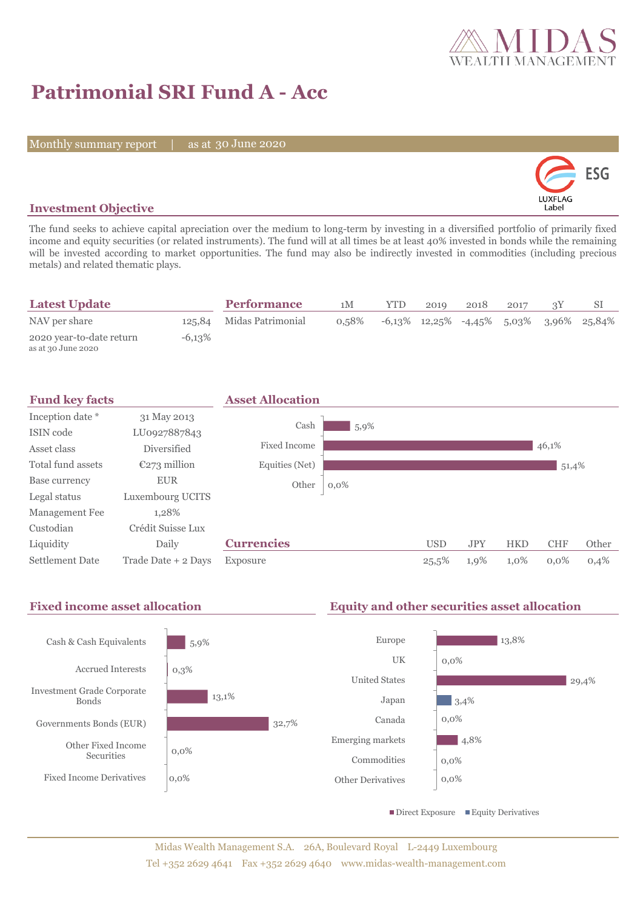

# **Patrimonial SRI Fund A - Acc**

Monthly summary report | as at 30 June 2020



## **Investment Objective**

The fund seeks to achieve capital apreciation over the medium to long-term by investing in a diversified portfolio of primarily fixed income and equity securities (or related instruments). The fund will at all times be at least 40% invested in bonds while the remaining will be invested according to market opportunities. The fund may also be indirectly invested in commodities (including precious metals) and related thematic plays.

| <b>Latest Update</b>                           |           | <b>Performance</b>       | 1M    | <b>YTD</b> | 2010 | 2018 | 2017 |                                               |
|------------------------------------------------|-----------|--------------------------|-------|------------|------|------|------|-----------------------------------------------|
| NAV per share                                  |           | 125,84 Midas Patrimonial | 0.58% |            |      |      |      | $-6,13\%$ 12,25% $-4,45\%$ 5,03% 3,96% 25,84% |
| 2020 year-to-date return<br>as at 30 June 2020 | $-6,13\%$ |                          |       |            |      |      |      |                                               |



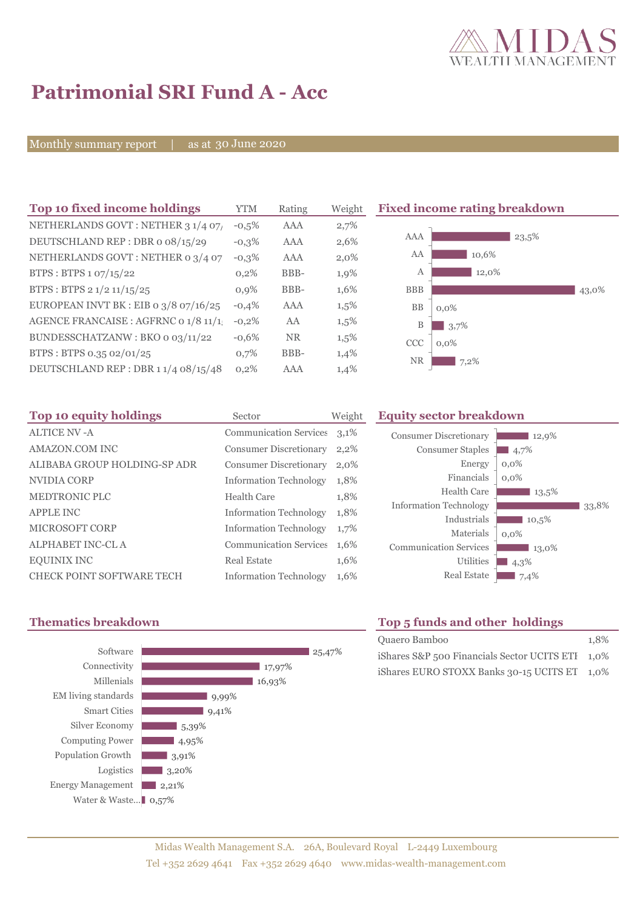

# **Patrimonial SRI Fund A - Acc**

Monthly summary report | as at 30 June 2020

| Top 10 fixed income holdings          | YTM     | Rating    | Weigh   |
|---------------------------------------|---------|-----------|---------|
| NETHERLANDS GOVT: NETHER 3 1/4 07/    | $-0.5%$ | AAA       | 2,7%    |
| DEUTSCHLAND REP: DBR o 08/15/29       | $-0.3%$ | AAA       | 2,6%    |
| NETHERLANDS GOVT: NETHER 0 3/4 07     | $-0,3%$ | AAA       | $2,0\%$ |
| BTPS: BTPS 1 07/15/22                 | 0,2%    | BBB-      | 1,9%    |
| BTPS: BTPS 2 1/2 11/15/25             | 0.9%    | BBB-      | 1,6%    |
| EUROPEAN INVT BK : EIB o 3/8 07/16/25 | $-0.4%$ | AAA       | 1,5%    |
| AGENCE FRANCAISE : AGFRNC 0 1/8 11/1  | $-0,2%$ | AA        | 1,5%    |
| BUNDESSCHATZANW: BKO 0 03/11/22       | $-0.6%$ | <b>NR</b> | 1,5%    |
| BTPS: BTPS 0.35 02/01/25              | 0,7%    | BBB-      | 1,4%    |
| DEUTSCHLAND REP: DBR 1 1/4 08/15/48   | 0,2%    | AAA       | 1,4%    |

**Fixed income rating breakdown** 



| Top 10 equity holdings           | Sector                        | Weigh |
|----------------------------------|-------------------------------|-------|
| <b>ALTICE NV -A</b>              | <b>Communication Services</b> | 3,1%  |
| <b>AMAZON.COM INC</b>            | <b>Consumer Discretionary</b> | 2,2%  |
| ALIBABA GROUP HOLDING-SP ADR     | <b>Consumer Discretionary</b> | 2,0%  |
| NVIDIA CORP                      | <b>Information Technology</b> | 1,8%  |
| <b>MEDTRONIC PLC</b>             | Health Care                   | 1,8%  |
| <b>APPLE INC</b>                 | <b>Information Technology</b> | 1,8%  |
| <b>MICROSOFT CORP</b>            | <b>Information Technology</b> | 1,7%  |
| <b>ALPHABET INC-CL A</b>         | <b>Communication Services</b> | 1,6%  |
| <b>EQUINIX INC</b>               | <b>Real Estate</b>            | 1,6%  |
| <b>CHECK POINT SOFTWARE TECH</b> | <b>Information Technology</b> | 1,6%  |

## **The Equity sector breakdown**

| <b>Consumer Discretionary</b><br><b>Consumer Staples</b><br>Energy<br>Financials<br>Health Care | 12,9%<br>4,7%<br>$0.0\%$<br>$0.0\%$<br>13,5% |       |
|-------------------------------------------------------------------------------------------------|----------------------------------------------|-------|
| <b>Information Technology</b>                                                                   |                                              | 33.8% |
| Industrials<br>Materials                                                                        | 10,5%<br>$0.0\%$                             |       |
| <b>Communication Services</b><br>Utilities                                                      | 13,0%                                        |       |
| <b>Real Estate</b>                                                                              | 4,3%<br>7,4%                                 |       |



# **Thematics breakdown Top 5 funds and other holdings**

| Quaero Bamboo                                    | 1.8% |
|--------------------------------------------------|------|
| iShares S&P 500 Financials Sector UCITS ETI 1.0% |      |
| iShares EURO STOXX Banks 30-15 UCITS ET 1,0%     |      |